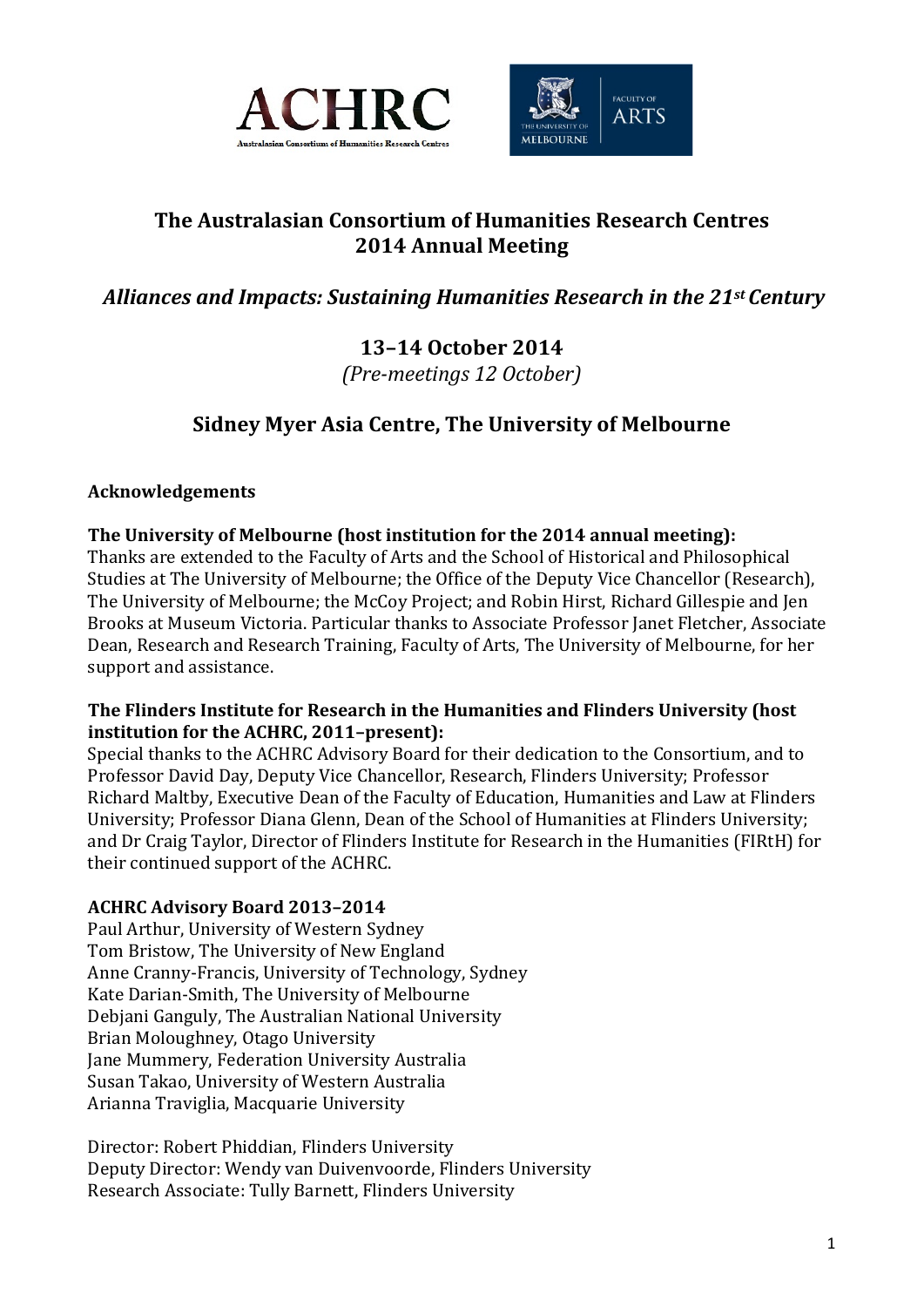



# **The Australasian Consortium of Humanities Research Centres 2014 Annual Meeting**

# *Alliances and Impacts: Sustaining Humanities Research in the 21st Century*

## **13–14 October 2014** *(Pre-meetings 12 October)*

# **Sidney Myer Asia Centre, The University of Melbourne**

## **Acknowledgements**

## **The University of Melbourne (host institution for the 2014 annual meeting):**

Thanks are extended to the Faculty of Arts and the School of Historical and Philosophical Studies at The University of Melbourne; the Office of the Deputy Vice Chancellor (Research), The University of Melbourne; the McCoy Project; and Robin Hirst, Richard Gillespie and Jen Brooks at Museum Victoria. Particular thanks to Associate Professor Janet Fletcher, Associate Dean, Research and Research Training, Faculty of Arts, The University of Melbourne, for her support and assistance.

#### **The Flinders Institute for Research in the Humanities and Flinders University (host institution for the ACHRC, 2011–present):**

Special thanks to the ACHRC Advisory Board for their dedication to the Consortium, and to Professor David Day, Deputy Vice Chancellor, Research, Flinders University; Professor Richard Maltby, Executive Dean of the Faculty of Education, Humanities and Law at Flinders University; Professor Diana Glenn, Dean of the School of Humanities at Flinders University; and Dr Craig Taylor, Director of Flinders Institute for Research in the Humanities (FIRtH) for their continued support of the ACHRC.

## **ACHRC Advisory Board 2013–2014**

Paul Arthur, University of Western Sydney Tom Bristow, The University of New England Anne Cranny-Francis, University of Technology, Sydney Kate Darian-Smith, The University of Melbourne Debjani Ganguly, The Australian National University Brian Moloughney, Otago University Jane Mummery, Federation University Australia Susan Takao, University of Western Australia Arianna Traviglia, Macquarie University

Director: Robert Phiddian, Flinders University Deputy Director: Wendy van Duivenvoorde, Flinders University Research Associate: Tully Barnett, Flinders University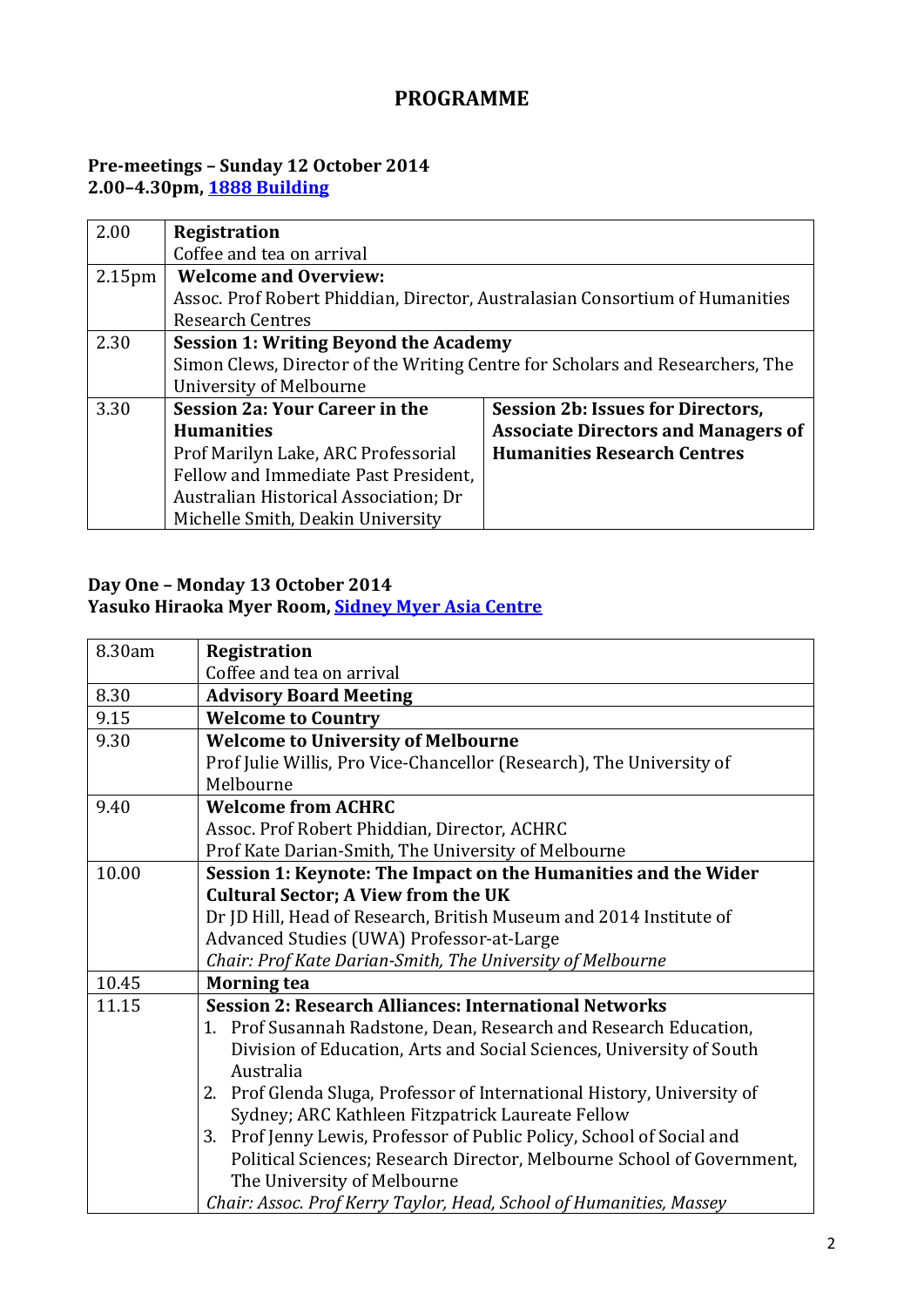## **PROGRAMME**

## **Pre-meetings – Sunday 12 October 2014 2.00–4.30pm, [1888 Building](http://maps.unimelb.edu.au/parkville/building/198#.U-A7dbHpc_0)**

| 2.00               | <b>Registration</b>                                                          |                                                                               |
|--------------------|------------------------------------------------------------------------------|-------------------------------------------------------------------------------|
|                    | Coffee and tea on arrival                                                    |                                                                               |
| 2.15 <sub>pm</sub> | <b>Welcome and Overview:</b>                                                 |                                                                               |
|                    | Assoc. Prof Robert Phiddian, Director, Australasian Consortium of Humanities |                                                                               |
|                    | <b>Research Centres</b>                                                      |                                                                               |
| 2.30               | <b>Session 1: Writing Beyond the Academy</b>                                 |                                                                               |
|                    |                                                                              | Simon Clews, Director of the Writing Centre for Scholars and Researchers, The |
|                    | University of Melbourne                                                      |                                                                               |
| 3.30               | <b>Session 2a: Your Career in the</b>                                        | Session 2b: Issues for Directors,                                             |
|                    | <b>Humanities</b>                                                            | <b>Associate Directors and Managers of</b>                                    |
|                    | Prof Marilyn Lake, ARC Professorial                                          | <b>Humanities Research Centres</b>                                            |
|                    | Fellow and Immediate Past President,                                         |                                                                               |
|                    | Australian Historical Association; Dr                                        |                                                                               |
|                    | Michelle Smith, Deakin University                                            |                                                                               |

#### **Day One – Monday 13 October 2014 Yasuko Hiraoka Myer Room, [Sidney Myer Asia Centre](http://maps.unimelb.edu.au/parkville/building/158#.U-A7jrHpc_0)**

| 8.30am | <b>Registration</b>                                                        |  |
|--------|----------------------------------------------------------------------------|--|
|        | Coffee and tea on arrival                                                  |  |
| 8.30   | <b>Advisory Board Meeting</b>                                              |  |
| 9.15   | <b>Welcome to Country</b>                                                  |  |
| 9.30   | <b>Welcome to University of Melbourne</b>                                  |  |
|        | Prof Julie Willis, Pro Vice-Chancellor (Research), The University of       |  |
|        | Melbourne                                                                  |  |
| 9.40   | <b>Welcome from ACHRC</b>                                                  |  |
|        | Assoc. Prof Robert Phiddian, Director, ACHRC                               |  |
|        | Prof Kate Darian-Smith, The University of Melbourne                        |  |
| 10.00  | Session 1: Keynote: The Impact on the Humanities and the Wider             |  |
|        | <b>Cultural Sector; A View from the UK</b>                                 |  |
|        | Dr JD Hill, Head of Research, British Museum and 2014 Institute of         |  |
|        | Advanced Studies (UWA) Professor-at-Large                                  |  |
|        | Chair: Prof Kate Darian-Smith, The University of Melbourne                 |  |
| 10.45  | <b>Morning tea</b>                                                         |  |
| 11.15  | <b>Session 2: Research Alliances: International Networks</b>               |  |
|        | 1. Prof Susannah Radstone, Dean, Research and Research Education,          |  |
|        | Division of Education, Arts and Social Sciences, University of South       |  |
|        | Australia                                                                  |  |
|        | Prof Glenda Sluga, Professor of International History, University of<br>2. |  |
|        | Sydney; ARC Kathleen Fitzpatrick Laureate Fellow                           |  |
|        | Prof Jenny Lewis, Professor of Public Policy, School of Social and<br>3.   |  |
|        | Political Sciences; Research Director, Melbourne School of Government,     |  |
|        | The University of Melbourne                                                |  |
|        | Chair: Assoc. Prof Kerry Taylor, Head, School of Humanities, Massey        |  |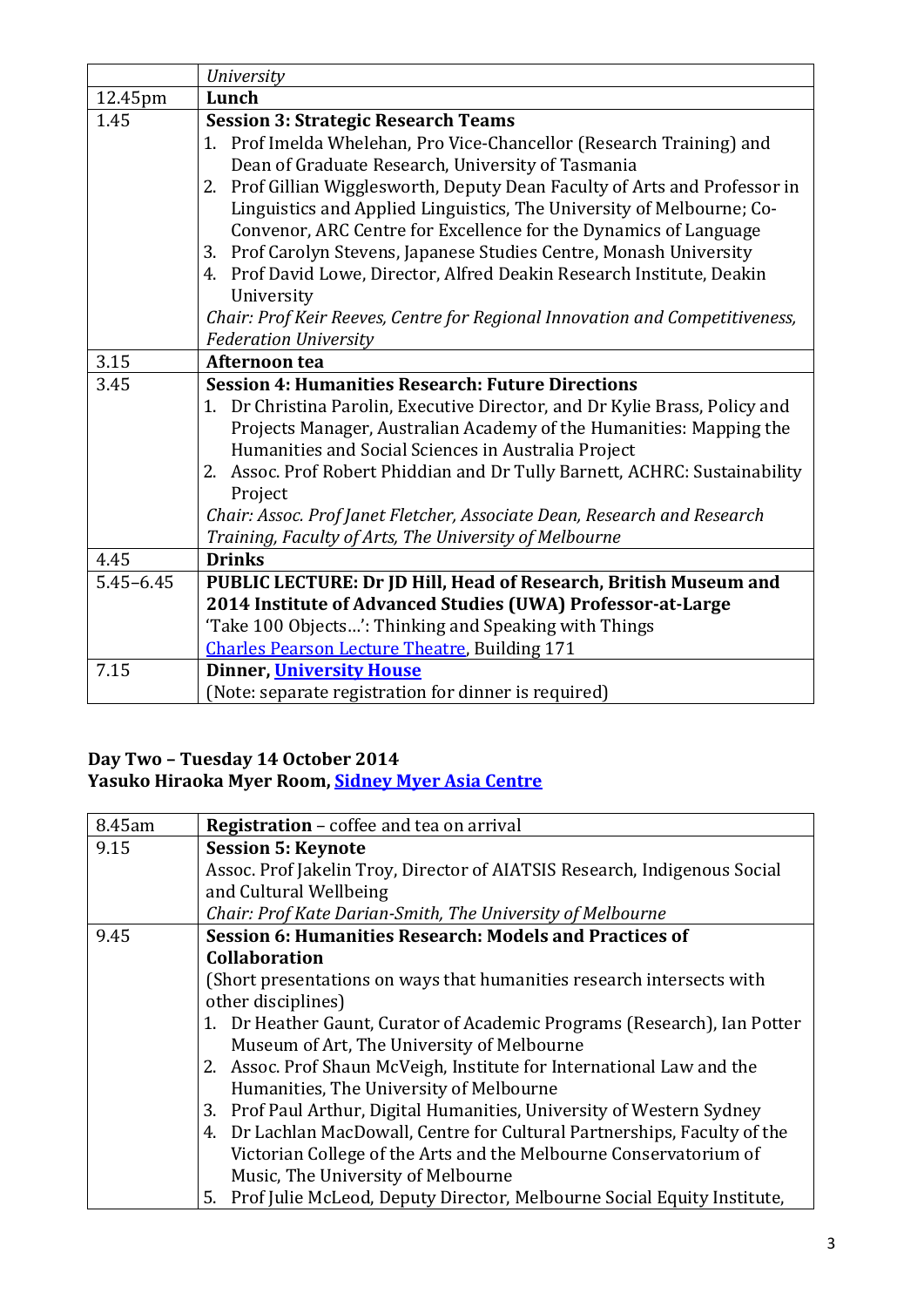|               | <b>University</b>                                                                                                                                                                                                                                                                                                                                                                                                                                                                                                                                                                                                                                                                 |
|---------------|-----------------------------------------------------------------------------------------------------------------------------------------------------------------------------------------------------------------------------------------------------------------------------------------------------------------------------------------------------------------------------------------------------------------------------------------------------------------------------------------------------------------------------------------------------------------------------------------------------------------------------------------------------------------------------------|
| 12.45pm       | Lunch                                                                                                                                                                                                                                                                                                                                                                                                                                                                                                                                                                                                                                                                             |
| 1.45          | <b>Session 3: Strategic Research Teams</b><br>1. Prof Imelda Whelehan, Pro Vice-Chancellor (Research Training) and<br>Dean of Graduate Research, University of Tasmania<br>2. Prof Gillian Wigglesworth, Deputy Dean Faculty of Arts and Professor in<br>Linguistics and Applied Linguistics, The University of Melbourne; Co-<br>Convenor, ARC Centre for Excellence for the Dynamics of Language<br>3. Prof Carolyn Stevens, Japanese Studies Centre, Monash University<br>4. Prof David Lowe, Director, Alfred Deakin Research Institute, Deakin<br>University<br>Chair: Prof Keir Reeves, Centre for Regional Innovation and Competitiveness,<br><b>Federation University</b> |
| 3.15          | Afternoon tea                                                                                                                                                                                                                                                                                                                                                                                                                                                                                                                                                                                                                                                                     |
| 3.45          | <b>Session 4: Humanities Research: Future Directions</b><br>1. Dr Christina Parolin, Executive Director, and Dr Kylie Brass, Policy and<br>Projects Manager, Australian Academy of the Humanities: Mapping the<br>Humanities and Social Sciences in Australia Project<br>2. Assoc. Prof Robert Phiddian and Dr Tully Barnett, ACHRC: Sustainability<br>Project<br>Chair: Assoc. Prof Janet Fletcher, Associate Dean, Research and Research<br>Training, Faculty of Arts, The University of Melbourne                                                                                                                                                                              |
| 4.45          | <b>Drinks</b>                                                                                                                                                                                                                                                                                                                                                                                                                                                                                                                                                                                                                                                                     |
| $5.45 - 6.45$ | PUBLIC LECTURE: Dr JD Hill, Head of Research, British Museum and<br>2014 Institute of Advanced Studies (UWA) Professor-at-Large<br>'Take 100 Objects': Thinking and Speaking with Things<br><b>Charles Pearson Lecture Theatre, Building 171</b>                                                                                                                                                                                                                                                                                                                                                                                                                                  |
| 7.15          | <b>Dinner, University House</b><br>(Note: separate registration for dinner is required)                                                                                                                                                                                                                                                                                                                                                                                                                                                                                                                                                                                           |

#### **Day Two – Tuesday 14 October 2014 Yasuko Hiraoka Myer Room, [Sidney Myer Asia Centre](http://maps.unimelb.edu.au/parkville/building/158#.U-A7jrHpc_0)**

| 8.45am | <b>Registration</b> – coffee and tea on arrival                           |  |
|--------|---------------------------------------------------------------------------|--|
| 9.15   | <b>Session 5: Keynote</b>                                                 |  |
|        | Assoc. Prof Jakelin Troy, Director of AIATSIS Research, Indigenous Social |  |
|        | and Cultural Wellbeing                                                    |  |
|        | Chair: Prof Kate Darian-Smith, The University of Melbourne                |  |
| 9.45   | Session 6: Humanities Research: Models and Practices of                   |  |
|        | <b>Collaboration</b>                                                      |  |
|        | (Short presentations on ways that humanities research intersects with     |  |
|        | other disciplines)                                                        |  |
|        | 1. Dr Heather Gaunt, Curator of Academic Programs (Research), Ian Potter  |  |
|        | Museum of Art, The University of Melbourne                                |  |
|        | 2. Assoc. Prof Shaun McVeigh, Institute for International Law and the     |  |
|        | Humanities, The University of Melbourne                                   |  |
|        | 3. Prof Paul Arthur, Digital Humanities, University of Western Sydney     |  |
|        | 4. Dr Lachlan MacDowall, Centre for Cultural Partnerships, Faculty of the |  |
|        | Victorian College of the Arts and the Melbourne Conservatorium of         |  |
|        | Music, The University of Melbourne                                        |  |
|        | 5. Prof Julie McLeod, Deputy Director, Melbourne Social Equity Institute, |  |